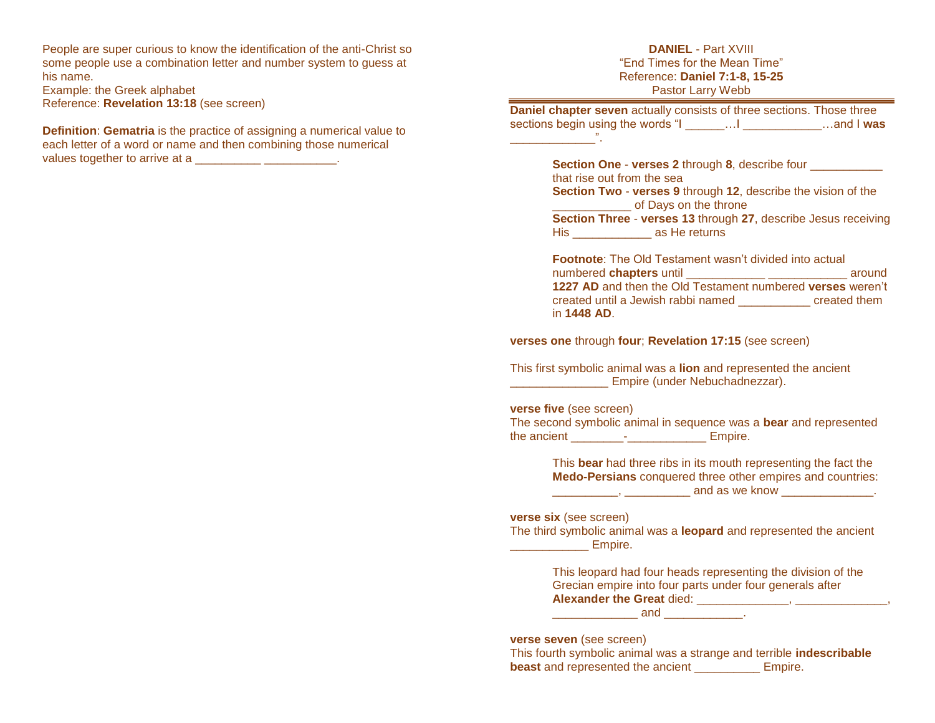People are super curious to know the identification of the anti-Christ so some people use a combination letter and number system to guess at his name.

Example: the Greek alphabet Reference: **Revelation 13:18** (see screen)

**Definition**: **Gematria** is the practice of assigning a numerical value to each letter of a word or name and then combining those numerical values together to arrive at a \_\_\_\_\_\_\_\_\_\_\_\_\_\_\_\_\_\_\_\_\_.

## **DANIEL** - Part XVIII "End Times for the Mean Time" Reference: **Daniel 7:1-8, 15-25** Pastor Larry Webb

**Daniel chapter seven** actually consists of three sections. Those three sections begin using the words "I \_\_\_\_\_\_…I \_\_\_\_\_\_\_\_\_\_\_\_…and I **was** \_\_\_\_\_\_\_\_\_\_\_\_\_".

> **Section One - verses 2 through 8, describe four** that rise out from the sea **Section Two** - **verses 9** through **12**, describe the vision of the \_\_\_\_\_\_\_\_\_\_\_\_ of Days on the throne **Section Three** - **verses 13** through **27**, describe Jesus receiving His \_\_\_\_\_\_\_\_\_\_\_\_ as He returns

> **Footnote:** The Old Testament wasn't divided into actual numbered **chapters** until \_\_\_\_\_\_\_\_\_\_\_\_ \_\_\_\_\_\_\_\_\_\_\_\_ around **1227 AD** and then the Old Testament numbered **verses** weren't created until a Jewish rabbi named \_\_\_\_\_\_\_\_\_\_\_ created them in **1448 AD**.

**verses one** through **four**; **Revelation 17:15** (see screen)

This first symbolic animal was a **lion** and represented the ancient \_\_\_\_\_\_\_\_\_\_\_\_\_\_\_ Empire (under Nebuchadnezzar).

### **verse five** (see screen)

| The second symbolic animal in sequence was a bear and represented |  |  |         |  |  |
|-------------------------------------------------------------------|--|--|---------|--|--|
| the ancient                                                       |  |  | Empire. |  |  |

This **bear** had three ribs in its mouth representing the fact the **Medo-Persians** conquered three other empires and countries: \_\_\_\_\_\_\_\_\_\_\_\_, \_\_\_\_\_\_\_\_\_\_\_\_ and as we know \_\_\_\_\_\_\_\_\_\_\_\_\_\_.

**verse six** (see screen)

The third symbolic animal was a **leopard** and represented the ancient **Empire.** 

> This leopard had four heads representing the division of the Grecian empire into four parts under four generals after **Alexander the Great** died: \_\_\_\_\_\_\_\_\_\_\_\_\_\_, \_\_\_\_\_\_\_\_\_\_\_\_\_\_,

 $and$   $\qquad \qquad .$ 

#### **verse seven** (see screen)

This fourth symbolic animal was a strange and terrible **indescribable beast** and represented the ancient \_\_\_\_\_\_\_\_\_\_\_ Empire.